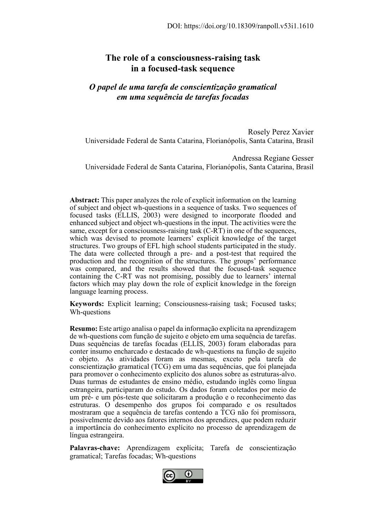# **The role of a consciousness-raising task in a focused-task sequence**

# *O papel de uma tarefa de conscientização gramatical em uma sequência de tarefas focadas*

Rosely Perez Xavier Universidade Federal de Santa Catarina, Florianópolis, Santa Catarina, Brasil

Andressa Regiane Gesser Universidade Federal de Santa Catarina, Florianópolis, Santa Catarina, Brasil

**Abstract:** This paper analyzes the role of explicit information on the learning of subject and object wh-questions in a sequence of tasks. Two sequences of focused tasks (ELLIS, 2003) were designed to incorporate flooded and enhanced subject and object wh-questions in the input. The activities were the same, except for a consciousness-raising task (C-RT) in one of the sequences, which was devised to promote learners' explicit knowledge of the target structures. Two groups of EFL high school students participated in the study. The data were collected through a pre- and a post-test that required the production and the recognition of the structures. The groups' performance was compared, and the results showed that the focused-task sequence containing the C-RT was not promising, possibly due to learners' internal factors which may play down the role of explicit knowledge in the foreign language learning process.

**Keywords:** Explicit learning; Consciousness-raising task; Focused tasks; Wh-questions

**Resumo:** Este artigo analisa o papel da informação explícita na aprendizagem de wh-questions com função de sujeito e objeto em uma sequência de tarefas. Duas sequências de tarefas focadas (ELLIS, 2003) foram elaboradas para conter insumo encharcado e destacado de wh-questions na função de sujeito e objeto. As atividades foram as mesmas, exceto pela tarefa de conscientização gramatical (TCG) em uma das sequências, que foi planejada para promover o conhecimento explícito dos alunos sobre as estruturas-alvo. Duas turmas de estudantes de ensino médio, estudando inglês como língua estrangeira, participaram do estudo. Os dados foram coletados por meio de um pré- e um pós-teste que solicitaram a produção e o reconhecimento das estruturas. O desempenho dos grupos foi comparado e os resultados mostraram que a sequência de tarefas contendo a TCG não foi promissora, possivelmente devido aos fatores internos dos aprendizes, que podem reduzir a importância do conhecimento explícito no processo de aprendizagem de língua estrangeira.

**Palavras-chave:** Aprendizagem explícita; Tarefa de conscientização gramatical; Tarefas focadas; Wh-questions

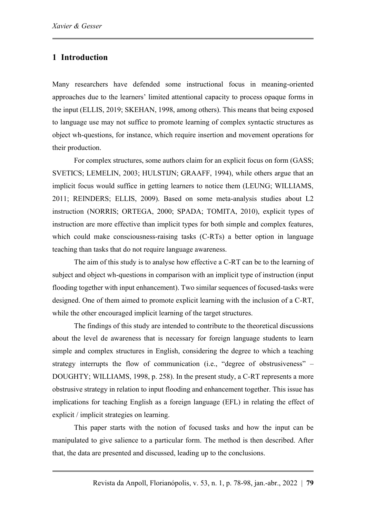## **1 Introduction**

Many researchers have defended some instructional focus in meaning-oriented approaches due to the learners' limited attentional capacity to process opaque forms in the input (ELLIS, 2019; SKEHAN, 1998, among others). This means that being exposed to language use may not suffice to promote learning of complex syntactic structures as object wh-questions, for instance, which require insertion and movement operations for their production.

For complex structures, some authors claim for an explicit focus on form (GASS; SVETICS; LEMELIN, 2003; HULSTIJN; GRAAFF, 1994), while others argue that an implicit focus would suffice in getting learners to notice them (LEUNG; WILLIAMS, 2011; REINDERS; ELLIS, 2009). Based on some meta-analysis studies about L2 instruction (NORRIS; ORTEGA, 2000; SPADA; TOMITA, 2010), explicit types of instruction are more effective than implicit types for both simple and complex features, which could make consciousness-raising tasks (C-RTs) a better option in language teaching than tasks that do not require language awareness.

The aim of this study is to analyse how effective a C-RT can be to the learning of subject and object wh-questions in comparison with an implicit type of instruction (input flooding together with input enhancement). Two similar sequences of focused-tasks were designed. One of them aimed to promote explicit learning with the inclusion of a C-RT, while the other encouraged implicit learning of the target structures.

The findings of this study are intended to contribute to the theoretical discussions about the level de awareness that is necessary for foreign language students to learn simple and complex structures in English, considering the degree to which a teaching strategy interrupts the flow of communication (i.e., "degree of obstrusiveness" – DOUGHTY; WILLIAMS, 1998, p. 258). In the present study, a C-RT represents a more obstrusive strategy in relation to input flooding and enhancement together. This issue has implications for teaching English as a foreign language (EFL) in relating the effect of explicit / implicit strategies on learning.

This paper starts with the notion of focused tasks and how the input can be manipulated to give salience to a particular form. The method is then described. After that, the data are presented and discussed, leading up to the conclusions.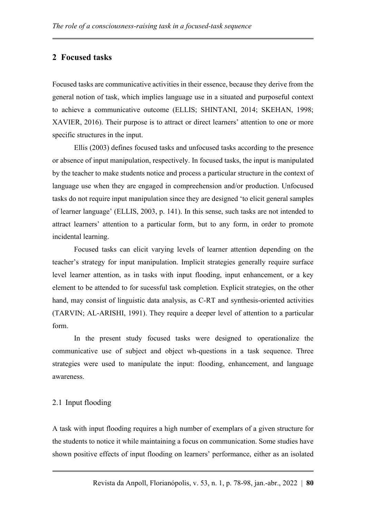## **2 Focused tasks**

Focused tasks are communicative activities in their essence, because they derive from the general notion of task, which implies language use in a situated and purposeful context to achieve a communicative outcome (ELLIS; SHINTANI, 2014; SKEHAN, 1998; XAVIER, 2016). Their purpose is to attract or direct learners' attention to one or more specific structures in the input.

Ellis (2003) defines focused tasks and unfocused tasks according to the presence or absence of input manipulation, respectively. In focused tasks, the input is manipulated by the teacher to make students notice and process a particular structure in the context of language use when they are engaged in compreehension and/or production. Unfocused tasks do not require input manipulation since they are designed 'to elicit general samples of learner language' (ELLIS, 2003, p. 141). In this sense, such tasks are not intended to attract learners' attention to a particular form, but to any form, in order to promote incidental learning.

Focused tasks can elicit varying levels of learner attention depending on the teacher's strategy for input manipulation. Implicit strategies generally require surface level learner attention, as in tasks with input flooding, input enhancement, or a key element to be attended to for sucessful task completion. Explicit strategies, on the other hand, may consist of linguistic data analysis, as C-RT and synthesis-oriented activities (TARVIN; AL-ARISHI, 1991). They require a deeper level of attention to a particular form.

In the present study focused tasks were designed to operationalize the communicative use of subject and object wh-questions in a task sequence. Three strategies were used to manipulate the input: flooding, enhancement, and language awareness.

#### 2.1 Input flooding

A task with input flooding requires a high number of exemplars of a given structure for the students to notice it while maintaining a focus on communication. Some studies have shown positive effects of input flooding on learners' performance, either as an isolated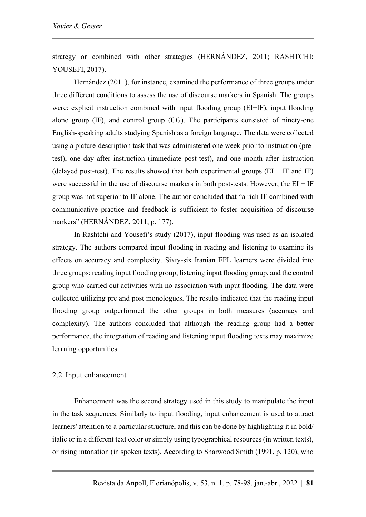strategy or combined with other strategies (HERNÁNDEZ, 2011; RASHTCHI; YOUSEFI, 2017).

Hernández (2011), for instance, examined the performance of three groups under three different conditions to assess the use of discourse markers in Spanish. The groups were: explicit instruction combined with input flooding group (EI+IF), input flooding alone group (IF), and control group (CG). The participants consisted of ninety-one English-speaking adults studying Spanish as a foreign language. The data were collected using a picture-description task that was administered one week prior to instruction (pretest), one day after instruction (immediate post-test), and one month after instruction (delayed post-test). The results showed that both experimental groups  $(EI + IF \text{ and } IF)$ were successful in the use of discourse markers in both post-tests. However, the  $EI + IF$ group was not superior to IF alone. The author concluded that "a rich IF combined with communicative practice and feedback is sufficient to foster acquisition of discourse markers" (HERNÁNDEZ, 2011, p. 177).

In Rashtchi and Yousefi's study (2017), input flooding was used as an isolated strategy. The authors compared input flooding in reading and listening to examine its effects on accuracy and complexity. Sixty-six Iranian EFL learners were divided into three groups: reading input flooding group; listening input flooding group, and the control group who carried out activities with no association with input flooding. The data were collected utilizing pre and post monologues. The results indicated that the reading input flooding group outperformed the other groups in both measures (accuracy and complexity). The authors concluded that although the reading group had a better performance, the integration of reading and listening input flooding texts may maximize learning opportunities.

#### 2.2 Input enhancement

Enhancement was the second strategy used in this study to manipulate the input in the task sequences. Similarly to input flooding, input enhancement is used to attract learners' attention to a particular structure, and this can be done by highlighting it in bold/ italic or in a different text color or simply using typographical resources (in written texts), or rising intonation (in spoken texts). According to Sharwood Smith (1991, p. 120), who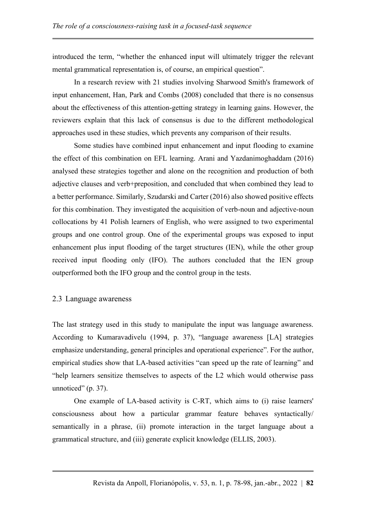introduced the term, "whether the enhanced input will ultimately trigger the relevant mental grammatical representation is, of course, an empirical question".

In a research review with 21 studies involving Sharwood Smith's framework of input enhancement, Han, Park and Combs (2008) concluded that there is no consensus about the effectiveness of this attention-getting strategy in learning gains. However, the reviewers explain that this lack of consensus is due to the different methodological approaches used in these studies, which prevents any comparison of their results.

Some studies have combined input enhancement and input flooding to examine the effect of this combination on EFL learning. Arani and Yazdanimoghaddam (2016) analysed these strategies together and alone on the recognition and production of both adjective clauses and verb+preposition, and concluded that when combined they lead to a better performance. Similarly, Szudarski and Carter (2016) also showed positive effects for this combination. They investigated the acquisition of verb-noun and adjective-noun collocations by 41 Polish learners of English, who were assigned to two experimental groups and one control group. One of the experimental groups was exposed to input enhancement plus input flooding of the target structures (IEN), while the other group received input flooding only (IFO). The authors concluded that the IEN group outperformed both the IFO group and the control group in the tests.

#### 2.3 Language awareness

The last strategy used in this study to manipulate the input was language awareness. According to Kumaravadivelu (1994, p. 37), "language awareness [LA] strategies emphasize understanding, general principles and operational experience". For the author, empirical studies show that LA-based activities "can speed up the rate of learning" and "help learners sensitize themselves to aspects of the L2 which would otherwise pass unnoticed"  $(p. 37)$ .

One example of LA-based activity is C-RT, which aims to (i) raise learners' consciousness about how a particular grammar feature behaves syntactically/ semantically in a phrase, (ii) promote interaction in the target language about a grammatical structure, and (iii) generate explicit knowledge (ELLIS, 2003).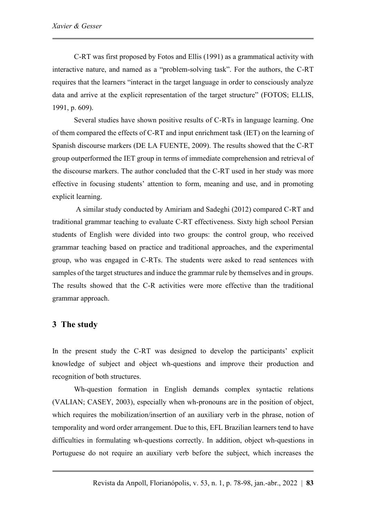C-RT was first proposed by Fotos and Ellis (1991) as a grammatical activity with interactive nature, and named as a "problem-solving task". For the authors, the C-RT requires that the learners "interact in the target language in order to consciously analyze data and arrive at the explicit representation of the target structure" (FOTOS; ELLIS, 1991, p. 609).

Several studies have shown positive results of C-RTs in language learning. One of them compared the effects of C-RT and input enrichment task (IET) on the learning of Spanish discourse markers (DE LA FUENTE, 2009). The results showed that the C-RT group outperformed the IET group in terms of immediate comprehension and retrieval of the discourse markers. The author concluded that the C-RT used in her study was more effective in focusing students' attention to form, meaning and use, and in promoting explicit learning.

A similar study conducted by Amiriam and Sadeghi (2012) compared C-RT and traditional grammar teaching to evaluate C-RT effectiveness. Sixty high school Persian students of English were divided into two groups: the control group, who received grammar teaching based on practice and traditional approaches, and the experimental group, who was engaged in C-RTs. The students were asked to read sentences with samples of the target structures and induce the grammar rule by themselves and in groups. The results showed that the C-R activities were more effective than the traditional grammar approach.

## **3 The study**

In the present study the C-RT was designed to develop the participants' explicit knowledge of subject and object wh-questions and improve their production and recognition of both structures.

Wh-question formation in English demands complex syntactic relations (VALIAN; CASEY, 2003), especially when wh-pronouns are in the position of object, which requires the mobilization/insertion of an auxiliary verb in the phrase, notion of temporality and word order arrangement. Due to this, EFL Brazilian learners tend to have difficulties in formulating wh-questions correctly. In addition, object wh-questions in Portuguese do not require an auxiliary verb before the subject, which increases the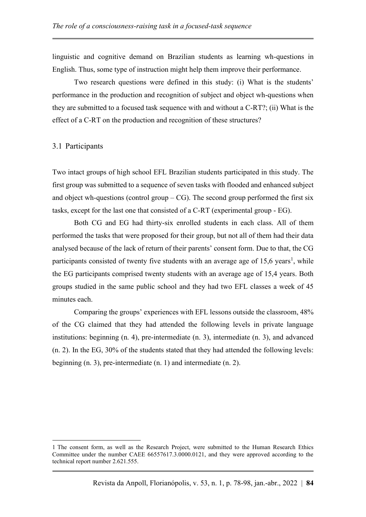linguistic and cognitive demand on Brazilian students as learning wh-questions in English. Thus, some type of instruction might help them improve their performance.

Two research questions were defined in this study: (i) What is the students' performance in the production and recognition of subject and object wh-questions when they are submitted to a focused task sequence with and without a C-RT?; (ii) What is the effect of a C-RT on the production and recognition of these structures?

### 3.1 Participants

Two intact groups of high school EFL Brazilian students participated in this study. The first group was submitted to a sequence of seven tasks with flooded and enhanced subject and object wh-questions (control group –  $CG$ ). The second group performed the first six tasks, except for the last one that consisted of a C-RT (experimental group - EG).

Both CG and EG had thirty-six enrolled students in each class. All of them performed the tasks that were proposed for their group, but not all of them had their data analysed because of the lack of return of their parents' consent form. Due to that, the CG participants consisted of twenty five students with an average age of  $15,6$  years<sup>1</sup>, while the EG participants comprised twenty students with an average age of 15,4 years. Both groups studied in the same public school and they had two EFL classes a week of 45 minutes each.

Comparing the groups' experiences with EFL lessons outside the classroom, 48% of the CG claimed that they had attended the following levels in private language institutions: beginning (n. 4), pre-intermediate (n. 3), intermediate (n. 3), and advanced (n. 2). In the EG, 30% of the students stated that they had attended the following levels: beginning (n. 3), pre-intermediate (n. 1) and intermediate (n. 2).

<sup>1</sup> The consent form, as well as the Research Project, were submitted to the Human Research Ethics Committee under the number CAEE 66557617.3.0000.0121, and they were approved according to the technical report number 2.621.555.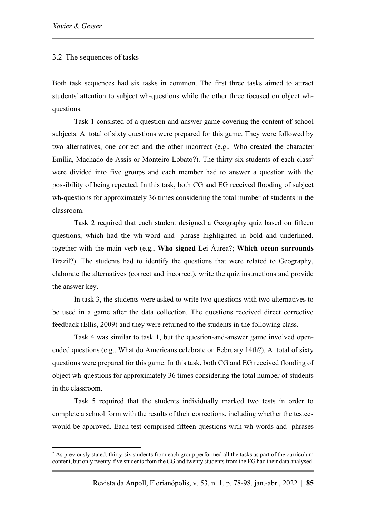#### 3.2 The sequences of tasks

Both task sequences had six tasks in common. The first three tasks aimed to attract students' attention to subject wh-questions while the other three focused on object whquestions.

Task 1 consisted of a question-and-answer game covering the content of school subjects. A total of sixty questions were prepared for this game. They were followed by two alternatives, one correct and the other incorrect (e.g., Who created the character Emília, Machado de Assis or Monteiro Lobato?). The thirty-six students of each class<sup>2</sup> were divided into five groups and each member had to answer a question with the possibility of being repeated. In this task, both CG and EG received flooding of subject wh-questions for approximately 36 times considering the total number of students in the classroom.

Task 2 required that each student designed a Geography quiz based on fifteen questions, which had the wh-word and -phrase highlighted in bold and underlined, together with the main verb (e.g., **Who signed** Lei Áurea?; **Which ocean surrounds** Brazil?). The students had to identify the questions that were related to Geography, elaborate the alternatives (correct and incorrect), write the quiz instructions and provide the answer key.

In task 3, the students were asked to write two questions with two alternatives to be used in a game after the data collection. The questions received direct corrective feedback (Ellis, 2009) and they were returned to the students in the following class.

Task 4 was similar to task 1, but the question-and-answer game involved openended questions (e.g., What do Americans celebrate on February 14th?). A total of sixty questions were prepared for this game. In this task, both CG and EG received flooding of object wh-questions for approximately 36 times considering the total number of students in the classroom.

Task 5 required that the students individually marked two tests in order to complete a school form with the results of their corrections, including whether the testees would be approved. Each test comprised fifteen questions with wh-words and -phrases

<sup>&</sup>lt;sup>2</sup> As previously stated, thirty-six students from each group performed all the tasks as part of the curriculum content, but only twenty-five students from the CG and twenty students from the EG had their data analysed.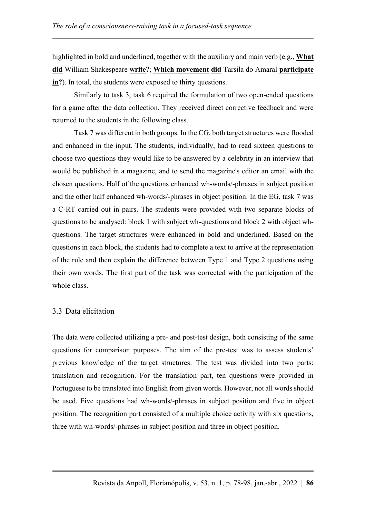highlighted in bold and underlined, together with the auxiliary and main verb (e.g., **What did** William Shakespeare **write**?; **Which movement did** Tarsila do Amaral **participate in?**). In total, the students were exposed to thirty questions.

Similarly to task 3, task 6 required the formulation of two open-ended questions for a game after the data collection. They received direct corrective feedback and were returned to the students in the following class.

Task 7 was different in both groups. In the CG, both target structures were flooded and enhanced in the input. The students, individually, had to read sixteen questions to choose two questions they would like to be answered by a celebrity in an interview that would be published in a magazine, and to send the magazine's editor an email with the chosen questions. Half of the questions enhanced wh-words/-phrases in subject position and the other half enhanced wh-words/-phrases in object position. In the EG, task 7 was a C-RT carried out in pairs. The students were provided with two separate blocks of questions to be analysed: block 1 with subject wh-questions and block 2 with object whquestions. The target structures were enhanced in bold and underlined. Based on the questions in each block, the students had to complete a text to arrive at the representation of the rule and then explain the difference between Type 1 and Type 2 questions using their own words. The first part of the task was corrected with the participation of the whole class.

## 3.3 Data elicitation

The data were collected utilizing a pre- and post-test design, both consisting of the same questions for comparison purposes. The aim of the pre-test was to assess students' previous knowledge of the target structures. The test was divided into two parts: translation and recognition. For the translation part, ten questions were provided in Portuguese to be translated into English from given words. However, not all words should be used. Five questions had wh-words/-phrases in subject position and five in object position. The recognition part consisted of a multiple choice activity with six questions, three with wh-words/-phrases in subject position and three in object position.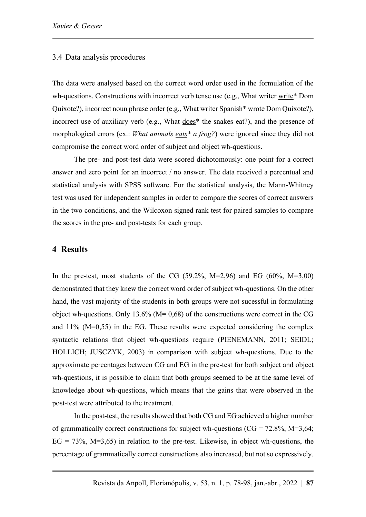#### 3.4 Data analysis procedures

The data were analysed based on the correct word order used in the formulation of the wh-questions. Constructions with incorrect verb tense use (e.g., What writer write\* Dom Quixote?), incorrect noun phrase order (e.g., What writer Spanish\* wrote Dom Quixote?), incorrect use of auxiliary verb (e.g., What does\* the snakes eat?), and the presence of morphological errors (ex.: *What animals eats\* a frog?*) were ignored since they did not compromise the correct word order of subject and object wh-questions.

The pre- and post-test data were scored dichotomously: one point for a correct answer and zero point for an incorrect / no answer. The data received a percentual and statistical analysis with SPSS software. For the statistical analysis, the Mann-Whitney test was used for independent samples in order to compare the scores of correct answers in the two conditions, and the Wilcoxon signed rank test for paired samples to compare the scores in the pre- and post-tests for each group.

### **4 Results**

In the pre-test, most students of the CG (59.2%, M=2,96) and EG (60%, M=3,00) demonstrated that they knew the correct word order of subject wh-questions. On the other hand, the vast majority of the students in both groups were not sucessful in formulating object wh-questions. Only 13.6% ( $M= 0.68$ ) of the constructions were correct in the CG and 11% (M=0,55) in the EG. These results were expected considering the complex syntactic relations that object wh-questions require (PIENEMANN, 2011; SEIDL; HOLLICH; JUSCZYK, 2003) in comparison with subject wh-questions. Due to the approximate percentages between CG and EG in the pre-test for both subject and object wh-questions, it is possible to claim that both groups seemed to be at the same level of knowledge about wh-questions, which means that the gains that were observed in the post-test were attributed to the treatment.

In the post-test, the results showed that both CG and EG achieved a higher number of grammatically correct constructions for subject wh-questions ( $CG = 72.8\%$ , M=3.64;  $EG = 73\%$ , M=3.65) in relation to the pre-test. Likewise, in object wh-questions, the percentage of grammatically correct constructions also increased, but not so expressively.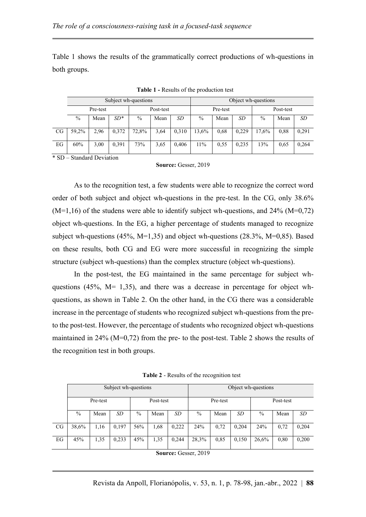Table 1 shows the results of the grammatically correct productions of wh-questions in both groups.

|    | Subject wh-questions |      |       |           |      |       |               | Object wh-questions |       |               |      |       |  |
|----|----------------------|------|-------|-----------|------|-------|---------------|---------------------|-------|---------------|------|-------|--|
|    | Pre-test             |      |       | Post-test |      |       | Pre-test      |                     |       | Post-test     |      |       |  |
|    | $\%$                 | Mean | $SD*$ | $\%$      | Mean | SD    | $\frac{0}{0}$ | Mean                | SD    | $\frac{0}{0}$ | Mean | SD    |  |
| CG | 59,2%                | 2,96 | 0.372 | 72,8%     | 3,64 | 0,310 | 13,6%         | 0.68                | 0,229 | 17,6%         | 0.88 | 0,291 |  |
| EG | 60%                  | 3,00 | 0.391 | 73%       | 3,65 | 0,406 | 11%           | 0.55                | 0,235 | 13%           | 0.65 | 0,264 |  |

**Table 1 -** Results of the production test

\* SD – Standard Deviation

| Source: Gesser, 2019 |
|----------------------|
|----------------------|

As to the recognition test, a few students were able to recognize the correct word order of both subject and object wh-questions in the pre-test. In the CG, only 38.6%  $(M=1,16)$  of the studens were able to identify subject wh-questions, and 24%  $(M=0,72)$ object wh-questions. In the EG, a higher percentage of students managed to recognize subject wh-questions (45%, M=1,35) and object wh-questions (28.3%, M=0,85). Based on these results, both CG and EG were more successful in recognizing the simple structure (subject wh-questions) than the complex structure (object wh-questions).

In the post-test, the EG maintained in the same percentage for subject whquestions (45%,  $M = 1,35$ ), and there was a decrease in percentage for object whquestions, as shown in Table 2. On the other hand, in the CG there was a considerable increase in the percentage of students who recognized subject wh-questions from the preto the post-test. However, the percentage of students who recognized object wh-questions maintained in 24% (M=0,72) from the pre- to the post-test. Table 2 shows the results of the recognition test in both groups.

**Table 2** - Results of the recognition test

|    | Subject wh-questions |      |       |               |      |       |               | Object wh-questions |       |               |      |       |  |  |
|----|----------------------|------|-------|---------------|------|-------|---------------|---------------------|-------|---------------|------|-------|--|--|
|    | Pre-test             |      |       | Post-test     |      |       | Pre-test      |                     |       | Post-test     |      |       |  |  |
|    | $\%$                 | Mean | SD    | $\frac{0}{0}$ | Mean | SD    | $\frac{0}{0}$ | Mean                | SD    | $\frac{0}{0}$ | Mean | SD    |  |  |
| CG | 38,6%                | 1,16 | 0,197 | 56%           | 1,68 | 0,222 | 24%           | 0.72                | 0,204 | 24%           | 0.72 | 0,204 |  |  |
| EG | 45%                  | 1,35 | 0,233 | 45%           | 1,35 | 0.244 | 28,3%         | 0.85                | 0,150 | 26,6%         | 0.80 | 0,200 |  |  |

**Source:** Gesser, 2019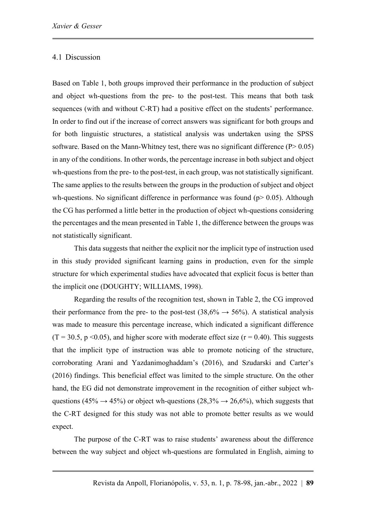### 4.1 Discussion

Based on Table 1, both groups improved their performance in the production of subject and object wh-questions from the pre- to the post-test. This means that both task sequences (with and without C-RT) had a positive effect on the students' performance. In order to find out if the increase of correct answers was significant for both groups and for both linguistic structures, a statistical analysis was undertaken using the SPSS software. Based on the Mann-Whitney test, there was no significant difference  $(P> 0.05)$ in any of the conditions. In other words, the percentage increase in both subject and object wh-questions from the pre- to the post-test, in each group, was not statistically significant. The same applies to the results between the groups in the production of subject and object wh-questions. No significant difference in performance was found ( $p$   $> 0.05$ ). Although the CG has performed a little better in the production of object wh-questions considering the percentages and the mean presented in Table 1, the difference between the groups was not statistically significant.

This data suggests that neither the explicit nor the implicit type of instruction used in this study provided significant learning gains in production, even for the simple structure for which experimental studies have advocated that explicit focus is better than the implicit one (DOUGHTY; WILLIAMS, 1998).

Regarding the results of the recognition test, shown in Table 2, the CG improved their performance from the pre- to the post-test  $(38,6\% \rightarrow 56\%)$ . A statistical analysis was made to measure this percentage increase, which indicated a significant difference  $(T = 30.5, p \le 0.05)$ , and higher score with moderate effect size  $(r = 0.40)$ . This suggests that the implicit type of instruction was able to promote noticing of the structure, corroborating Arani and Yazdanimoghaddam's (2016), and Szudarski and Carter's (2016) findings. This beneficial effect was limited to the simple structure. On the other hand, the EG did not demonstrate improvement in the recognition of either subject whquestions (45%  $\rightarrow$  45%) or object wh-questions (28,3%  $\rightarrow$  26,6%), which suggests that the C-RT designed for this study was not able to promote better results as we would expect.

The purpose of the C-RT was to raise students' awareness about the difference between the way subject and object wh-questions are formulated in English, aiming to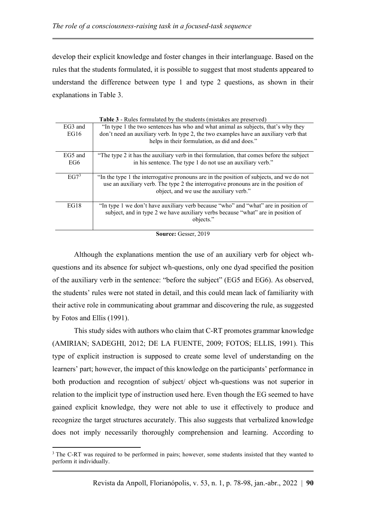develop their explicit knowledge and foster changes in their interlanguage. Based on the rules that the students formulated, it is possible to suggest that most students appeared to understand the difference between type 1 and type 2 questions, as shown in their explanations in Table 3.

|                     | <b>Table 3</b> - Rules formulated by the students (mistakes are preserved)                                                                                                                                                 |  |  |  |  |  |
|---------------------|----------------------------------------------------------------------------------------------------------------------------------------------------------------------------------------------------------------------------|--|--|--|--|--|
| EG <sub>3</sub> and | "In type 1 the two sentences has who and what animal as subjects, that's why they                                                                                                                                          |  |  |  |  |  |
| EG16                | don't need an auxiliary verb. In type 2, the two examples have an auxiliary verb that                                                                                                                                      |  |  |  |  |  |
|                     | helps in their formulation, as did and does."                                                                                                                                                                              |  |  |  |  |  |
| EG5 and             | "The type 2 it has the auxiliary verb in thei formulation, that comes before the subject                                                                                                                                   |  |  |  |  |  |
| EG6                 | in his sentence. The type 1 do not use an auxiliary verb."                                                                                                                                                                 |  |  |  |  |  |
| EG7 <sup>3</sup>    | "In the type 1 the interrogative pronouns are in the position of subjects, and we do not<br>use an auxiliary verb. The type 2 the interrogative pronouns are in the position of<br>object, and we use the auxiliary verb." |  |  |  |  |  |
| EG18                | "In type 1 we don't have auxiliary verb because "who" and "what" are in position of<br>subject, and in type 2 we have auxiliary verbs because "what" are in position of<br>objects."                                       |  |  |  |  |  |

**Table 3** - **Table 3** - Rules for students (mistakes

Although the explanations mention the use of an auxiliary verb for object whquestions and its absence for subject wh-questions, only one dyad specified the position of the auxiliary verb in the sentence: "before the subject" (EG5 and EG6). As observed, the students' rules were not stated in detail, and this could mean lack of familiarity with their active role in communicating about grammar and discovering the rule, as suggested by Fotos and Ellis (1991).

This study sides with authors who claim that C-RT promotes grammar knowledge (AMIRIAN; SADEGHI, 2012; DE LA FUENTE, 2009; FOTOS; ELLIS, 1991). This type of explicit instruction is supposed to create some level of understanding on the learners' part; however, the impact of this knowledge on the participants' performance in both production and recogntion of subject/ object wh-questions was not superior in relation to the implicit type of instruction used here. Even though the EG seemed to have gained explicit knowledge, they were not able to use it effectively to produce and recognize the target structures accurately. This also suggests that verbalized knowledge does not imply necessarily thoroughly comprehension and learning. According to

**Source:** Gesser, 2019

<sup>&</sup>lt;sup>3</sup> The C-RT was required to be performed in pairs; however, some students insisted that they wanted to perform it individually.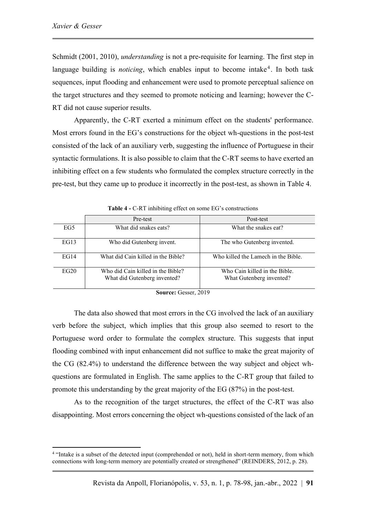Schmidt (2001, 2010), *understanding* is not a pre-requisite for learning. The first step in language building is *noticing*, which enables input to become intake<sup>4</sup>. In both task sequences, input flooding and enhancement were used to promote perceptual salience on the target structures and they seemed to promote noticing and learning; however the C-RT did not cause superior results.

Apparently, the C-RT exerted a minimum effect on the students' performance. Most errors found in the EG's constructions for the object wh-questions in the post-test consisted of the lack of an auxiliary verb, suggesting the influence of Portuguese in their syntactic formulations. It is also possible to claim that the C-RT seems to have exerted an inhibiting effect on a few students who formulated the complex structure correctly in the pre-test, but they came up to produce it incorrectly in the post-test, as shown in Table 4.

|      | Pre-test                                                          | Post-test                                                |
|------|-------------------------------------------------------------------|----------------------------------------------------------|
| EG5  | What did snakes eats?                                             | What the snakes eat?                                     |
| EG13 | Who did Gutenberg invent.                                         | The who Gutenberg invented.                              |
| EG14 | What did Cain killed in the Bible?                                | Who killed the Lamech in the Bible.                      |
| EG20 | Who did Cain killed in the Bible?<br>What did Gutenberg invented? | Who Cain killed in the Bible<br>What Gutenberg invented? |

**Source:** Gesser, 2019

The data also showed that most errors in the CG involved the lack of an auxiliary verb before the subject, which implies that this group also seemed to resort to the Portuguese word order to formulate the complex structure. This suggests that input flooding combined with input enhancement did not suffice to make the great majority of the CG (82.4%) to understand the difference between the way subject and object whquestions are formulated in English. The same applies to the C-RT group that failed to promote this understanding by the great majority of the EG (87%) in the post-test.

As to the recognition of the target structures, the effect of the C-RT was also disappointing. Most errors concerning the object wh-questions consisted of the lack of an

<sup>&</sup>lt;sup>4</sup> "Intake is a subset of the detected input (comprehended or not), held in short-term memory, from which connections with long-term memory are potentially created or strengthened" (REINDERS, 2012, p. 28).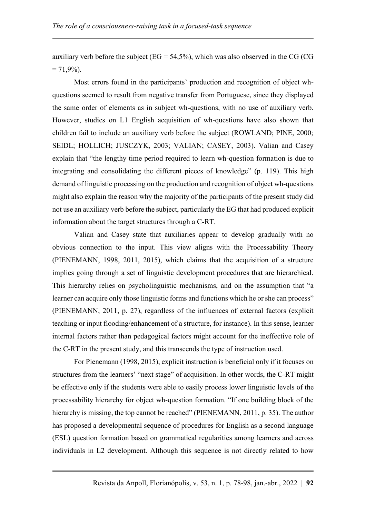auxiliary verb before the subject ( $EG = 54,5\%$ ), which was also observed in the CG (CG  $= 71,9\%$ ).

Most errors found in the participants' production and recognition of object whquestions seemed to result from negative transfer from Portuguese, since they displayed the same order of elements as in subject wh-questions, with no use of auxiliary verb. However, studies on L1 English acquisition of wh-questions have also shown that children fail to include an auxiliary verb before the subject (ROWLAND; PINE, 2000; SEIDL; HOLLICH; JUSCZYK, 2003; VALIAN; CASEY, 2003). Valian and Casey explain that "the lengthy time period required to learn wh-question formation is due to integrating and consolidating the different pieces of knowledge" (p. 119). This high demand of linguistic processing on the production and recognition of object wh-questions might also explain the reason why the majority of the participants of the present study did not use an auxiliary verb before the subject, particularly the EG that had produced explicit information about the target structures through a C-RT.

Valian and Casey state that auxiliaries appear to develop gradually with no obvious connection to the input. This view aligns with the Processability Theory (PIENEMANN, 1998, 2011, 2015), which claims that the acquisition of a structure implies going through a set of linguistic development procedures that are hierarchical. This hierarchy relies on psycholinguistic mechanisms, and on the assumption that "a learner can acquire only those linguistic forms and functions which he or she can process" (PIENEMANN, 2011, p. 27), regardless of the influences of external factors (explicit teaching or input flooding/enhancement of a structure, for instance). In this sense, learner internal factors rather than pedagogical factors might account for the ineffective role of the C-RT in the present study, and this transcends the type of instruction used.

For Pienemann (1998, 2015), explicit instruction is beneficial only if it focuses on structures from the learners' "next stage" of acquisition. In other words, the C-RT might be effective only if the students were able to easily process lower linguistic levels of the processability hierarchy for object wh-question formation. "If one building block of the hierarchy is missing, the top cannot be reached" (PIENEMANN, 2011, p. 35). The author has proposed a developmental sequence of procedures for English as a second language (ESL) question formation based on grammatical regularities among learners and across individuals in L2 development. Although this sequence is not directly related to how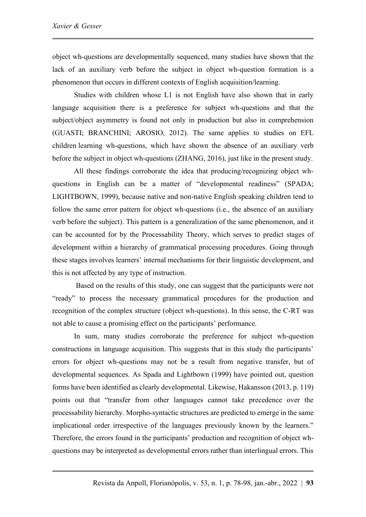object wh-questions are developmentally sequenced, many studies have shown that the lack of an auxiliary verb before the subject in object wh-question formation is a phenomenon that occurs in different contexts of English acquisition/learning.

Studies with children whose L1 is not English have also shown that in early language acquisition there is a preference for subject wh-questions and that the subject/object asymmetry is found not only in production but also in comprehension (GUASTI; BRANCHINI; AROSIO, 2012). The same applies to studies on EFL children learning wh-questions, which have shown the absence of an auxiliary verb before the subject in object wh-questions (ZHANG, 2016), just like in the present study.

All these findings corroborate the idea that producing/recognizing object whquestions in English can be a matter of "developmental readiness" (SPADA; LIGHTBOWN, 1999), because native and non-native English speaking children tend to follow the same error pattern for object wh-questions (i.e., the absence of an auxiliary verb before the subject). This pattern is a generalization of the same phenomenon, and it can be accounted for by the Processability Theory, which serves to predict stages of development within a hierarchy of grammatical processing procedures. Going through these stages involves learners' internal mechanisms for their linguistic development, and this is not affected by any type of instruction.

Based on the results of this study, one can suggest that the participants were not "ready" to process the necessary grammatical procedures for the production and recognition of the complex structure (object wh-questions). In this sense, the C-RT was not able to cause a promising effect on the participants' performance.

In sum, many studies corroborate the preference for subject wh-question constructions in language acquisition. This suggests that in this study the participants' errors for object wh-questions may not be a result from negative transfer, but of developmental sequences. As Spada and Lightbown (1999) have pointed out, question forms have been identified as clearly developmental. Likewise, Hakansson (2013, p. 119) points out that "transfer from other languages cannot take precedence over the processability hierarchy. Morpho-syntactic structures are predicted to emerge in the same implicational order irrespective of the languages previously known by the learners." Therefore, the errors found in the participants' production and recognition of object whquestions may be interpreted as developmental errors rather than interlingual errors. This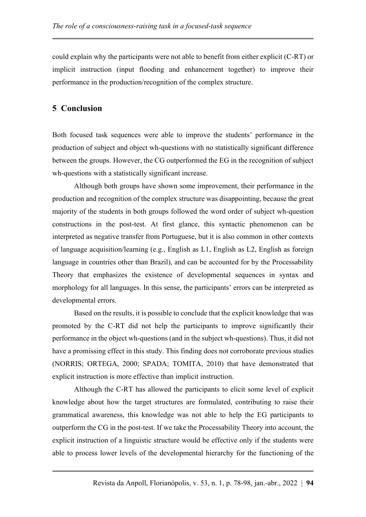could explain why the participants were not able to benefit from either explicit (C-RT) or implicit instruction (input flooding and enhancement together) to improve their performance in the production/recognition of the complex structure.

## **5 Conclusion**

Both focused task sequences were able to improve the students' performance in the production of subject and object wh-questions with no statistically significant difference between the groups. However, the CG outperformed the EG in the recognition of subject wh-questions with a statistically significant increase.

Although both groups have shown some improvement, their performance in the production and recognition of the complex structure was disappointing, because the great majority of the students in both groups followed the word order of subject wh-question constructions in the post-test. At first glance, this syntactic phenomenon can be interpreted as negative transfer from Portuguese, but it is also common in other contexts of language acquisition/learning (e.g., English as L1, English as L2, English as foreign language in countries other than Brazil), and can be accounted for by the Processability Theory that emphasizes the existence of developmental sequences in syntax and morphology for all languages. In this sense, the participants' errors can be interpreted as developmental errors.

Based on the results, it is possible to conclude that the explicit knowledge that was promoted by the C-RT did not help the participants to improve significantly their performance in the object wh-questions (and in the subject wh-questions). Thus, it did not have a promissing effect in this study. This finding does not corroborate previous studies (NORRIS; ORTEGA, 2000; SPADA; TOMITA, 2010) that have demonstrated that explicit instruction is more effective than implicit instruction.

Although the C-RT has allowed the participants to elicit some level of explicit knowledge about how the target structures are formulated, contributing to raise their grammatical awareness, this knowledge was not able to help the EG participants to outperform the CG in the post-test. If we take the Processability Theory into account, the explicit instruction of a linguistic structure would be effective only if the students were able to process lower levels of the developmental hierarchy for the functioning of the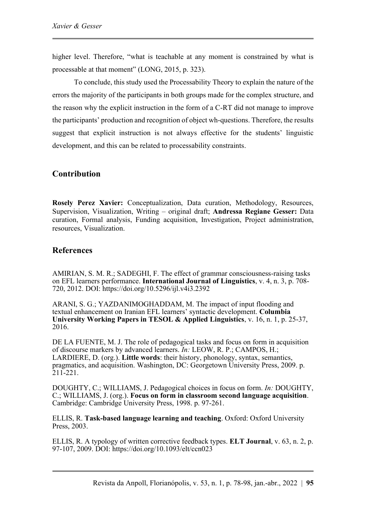higher level. Therefore, "what is teachable at any moment is constrained by what is processable at that moment" (LONG, 2015, p. 323).

To conclude, this study used the Processability Theory to explain the nature of the errors the majority of the participants in both groups made for the complex structure, and the reason why the explicit instruction in the form of a C-RT did not manage to improve the participants' production and recognition of object wh-questions. Therefore, the results suggest that explicit instruction is not always effective for the students' linguistic development, and this can be related to processability constraints.

# **Contribution**

**Rosely Perez Xavier:** Conceptualization, Data curation, Methodology, Resources, Supervision, Visualization, Writing – original draft; **Andressa Regiane Gesser:** Data curation, Formal analysis, Funding acquisition, Investigation, Project administration, resources, Visualization.

## **References**

AMIRIAN, S. M. R.; SADEGHI, F. The effect of grammar consciousness-raising tasks on EFL learners performance. **International Journal of Linguistics**, v. 4, n. 3, p. 708- 720, 2012. DOI: <https://doi.org/10.5296/ijl.v4i3.2392>

ARANI, S. G.; YAZDANIMOGHADDAM, M. The impact of input flooding and textual enhancement on Iranian EFL learners' syntactic development. **Columbia University Working Papers in TESOL & Applied Linguistics**, v. 16, n. 1, p. 25-37, 2016.

DE LA FUENTE, M. J. The role of pedagogical tasks and focus on form in acquisition of discourse markers by advanced learners. *In:* LEOW, R. P.; CAMPOS, H.; LARDIERE, D. (org.). **Little words**: their history, phonology, syntax, semantics, pragmatics, and acquisition. Washington, DC: Georgetown University Press, 2009. p. 211-221.

DOUGHTY, C.; WILLIAMS, J. Pedagogical choices in focus on form. *In:* DOUGHTY, C.; WILLIAMS, J. (org.). **Focus on form in classroom second language acquisition**. Cambridge: Cambridge University Press, 1998. p. 97-261.

ELLIS, R. **Task-based language learning and teaching**. Oxford: Oxford University Press, 2003.

ELLIS, R. A typology of written corrective feedback types. **ELT Journal**, v. 63, n. 2, p. 97-107, 2009. DOI:<https://doi.org/10.1093/elt/ccn023>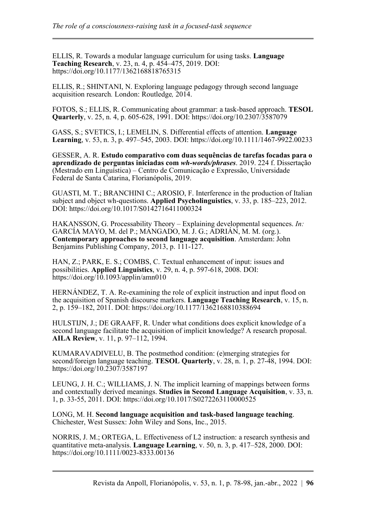ELLIS, R. Towards a modular language curriculum for using tasks. **Language Teaching Research**, v. 23, n. 4, p. 454–475, 2019. DOI: [https://doi.org/10.1177/1362168818765315](https://doi.org/10.1177%2F1362168818765315)

ELLIS, R.; SHINTANI, N. Exploring language pedagogy through second language acquisition research*.* London: Routledge*,* 2014.

FOTOS, S.; ELLIS, R. Communicating about grammar: a task-based approach. **TESOL Quarterly**, v. 25, n. 4, p. 605-628, 1991. DOI:<https://doi.org/10.2307/3587079>

GASS, S.; SVETICS, I.; LEMELIN, S. Differential effects of attention. **Language Learning**, v. 53, n. 3, p. 497–545, 2003. DOI:<https://doi.org/10.1111/1467-9922.00233>

GESSER, A. R. **Estudo comparativo com duas sequências de tarefas focadas para o aprendizado de perguntas iniciadas com** *wh-words/phrases*. 2019. 224 f. Dissertação (Mestrado em Linguística) – Centro de Comunicação e Expressão, Universidade Federal de Santa Catarina, Florianópolis, 2019.

GUASTI, M. T.; BRANCHINI C.; AROSIO, F. Interference in the production of Italian subject and object wh-questions. **Applied Psycholinguistics**, v. 33, p. 185–223, 2012. DOI: <https://doi.org/10.1017/S0142716411000324>

HAKANSSON, G. Processability Theory – Explaining developmental sequences. *In:* GARCÍA MAYO, M. del P.; MANGADO, M. J. G.; ADRIÁN, M. M. (org.). **Contemporary approaches to second language acquisition**. Amsterdam: John Benjamins Publishing Company, 2013, p. 111-127.

HAN, Z.; PARK, E. S.; COMBS, C. Textual enhancement of input: issues and possibilities. **Applied Linguistics**, v. 29, n. 4, p. 597-618, 2008. DOI: https://doi.org/ $10.1093$ /applin/amn010

HERNÁNDEZ, T. A. Re-examining the role of explicit instruction and input flood on the acquisition of Spanish discourse markers. **Language Teaching Research**, v. 15, n. 2, p. 159–182, 2011. DOI: [https://doi.org/10.1177/1362168810388694](https://doi.org/10.1177%2F1362168810388694)

HULSTIJN, J.; DE GRAAFF, R. Under what conditions does explicit knowledge of a second language facilitate the acquisition of implicit knowledge? A research proposal. **AILA Review**, v. 11, p. 97–112, 1994.

KUMARAVADIVELU, B. The postmethod condition: (e)merging strategies for second/foreign language teaching. **TESOL Quarterly**, v. 28, n. 1, p. 27-48, 1994. DOI: <https://doi.org/10.2307/3587197>

LEUNG, J. H. C.; WILLIAMS, J. N. The implicit learning of mappings between forms and contextually derived meanings. **Studies in Second Language Acquisition**, v. 33, n. 1, p. 33-55, 2011. DOI: <https://doi.org/10.1017/S0272263110000525>

LONG, M. H. **Second language acquisition and task-based language teaching**. Chichester, West Sussex: John Wiley and Sons, Inc., 2015.

NORRIS, J. M.; ORTEGA, L. Effectiveness of L2 instruction: a research synthesis and quantitative meta-analysis. **Language Learning**, v. 50, n. 3, p. 417–528, 2000. DOI: <https://doi.org/10.1111/0023-8333.00136>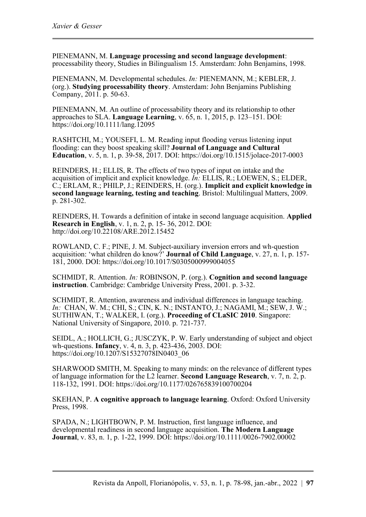PIENEMANN, M. **Language processing and second language development**: processability theory, Studies in Bilingualism 15. Amsterdam: John Benjamins, 1998.

PIENEMANN, M. Developmental schedules. *In:* PIENEMANN, M.; KEBLER, J. (org.). **Studying processability theory**. Amsterdam: John Benjamins Publishing Company, 2011. p. 50-63.

PIENEMANN, M. An outline of processability theory and its relationship to other approaches to SLA. **Language Learning**, v. 65, n. 1, 2015, p. 123–151. DOI: <https://doi.org/10.1111/lang.12095>

RASHTCHI, M.; YOUSEFI, L. M. Reading input flooding versus listening input flooding: can they boost speaking skill? **Journal of Language and Cultural Education**, v. 5, n. 1, p. 39-58, 2017. DOI: <https://doi.org/10.1515/jolace-2017-0003>

REINDERS, H.; ELLIS, R. The effects of two types of input on intake and the acquisition of implicit and explicit knowledge. *In:* ELLIS, R.; LOEWEN, S.; ELDER, C.; ERLAM, R.; PHILP, J.; REINDERS, H. (org.). **Implicit and explicit knowledge in second language learning, testing and teaching**. Bristol: Multilingual Matters, 2009. p. 281-302.

REINDERS, H. Towards a definition of intake in second language acquisition. **Applied Research in English**, v. 1, n. 2, p. 15- 36, 2012. DOI: <http://doi.org/10.22108/ARE.2012.15452>

ROWLAND, C. F.; PINE, J. M. Subject-auxiliary inversion errors and wh-question acquisition: 'what children do know?' **Journal of Child Language**, v. 27, n. 1, p. 157- 181, 2000. DOI:<https://doi.org/10.1017/S0305000999004055>

SCHMIDT, R. Attention. *In:* ROBINSON, P. (org.). **Cognition and second language instruction**. Cambridge: Cambridge University Press, 2001. p. 3-32.

SCHMIDT, R. Attention, awareness and individual differences in language teaching. *In:* CHAN, W. M.; CHI, S.; CIN, K. N.; INSTANTO, J.; NAGAMI, M.; SEW, J. W.; SUTHIWAN, T.; WALKER, I. (org.). **Proceeding of CLaSIC 2010**. Singapore: National University of Singapore, 2010. p. 721-737.

SEIDL, A.; HOLLICH, G.; JUSCZYK, P. W. Early understanding of subject and object wh-questions. **Infancy**, v. 4, n. 3, p. 423-436, 2003. DOI: [https://doi.org/10.1207/S15327078IN0403\\_06](https://doi.org/10.1207/S15327078IN0403_06)

SHARWOOD SMITH, M. Speaking to many minds: on the relevance of different types of language information for the L2 learner. **Second Language Research**, v. 7, n. 2, p. 118-132, 1991. DOI: [https://doi.org/10.1177/026765839100700204](https://doi.org/10.1177%2F026765839100700204)

SKEHAN, P. **A cognitive approach to language learning**. Oxford: Oxford University Press, 1998.

SPADA, N.; LIGHTBOWN, P. M. Instruction, first language influence, and developmental readiness in second language acquisition. **The Modern Language Journal**, v. 83, n. 1, p. 1-22, 1999. DOI:<https://doi.org/10.1111/0026-7902.00002>